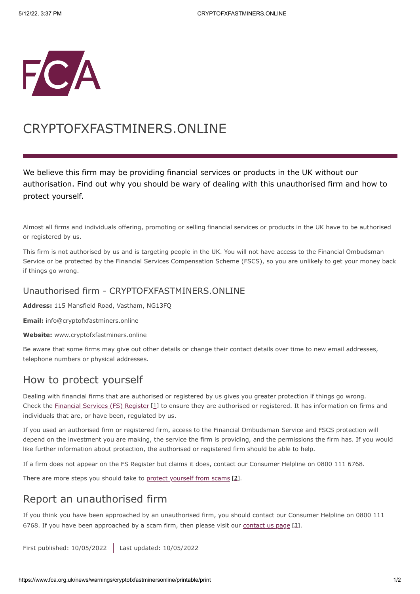

# CRYPTOFXFASTMINERS.ONLINE

We believe this firm may be providing financial services or products in the UK without our authorisation. Find out why you should be wary of dealing with this unauthorised firm and how to protect yourself.

Almost all firms and individuals offering, promoting or selling financial services or products in the UK have to be authorised or registered by us.

This firm is not authorised by us and is targeting people in the UK. You will not have access to the Financial Ombudsman Service or be protected by the Financial Services Compensation Scheme (FSCS), so you are unlikely to get your money back if things go wrong.

#### Unauthorised firm - CRYPTOFXFASTMINERS.ONLINE

**Address:** 115 Mansfield Road, Vastham, NG13FQ

**Email:** info@cryptofxfastminers.online

**Website:** www.cryptofxfastminers.online

Be aware that some firms may give out other details or change their contact details over time to new email addresses, telephone numbers or physical addresses.

### How to protect yourself

Dealing with financial firms that are authorised or registered by us gives you greater protection if things go wrong. Check the [Financial Services \(FS\) Register](https://register.fca.org.uk/) [1] to ensure they are authorised or registered. It has information on firms and individuals that are, or have been, regulated by us.

If you used an authorised firm or registered firm, access to the Financial Ombudsman Service and FSCS protection will depend on the investment you are making, the service the firm is providing, and the permissions the firm has. If you would like further information about protection, the authorised or registered firm should be able to help.

If a firm does not appear on the FS Register but claims it does, contact our Consumer Helpline on 0800 111 6768.

There are more steps you should take to [protect yourself from scams](https://www.fca.org.uk/consumers/avoid-scams-unauthorised-firms) [2].

## Report an unauthorised firm

If you think you have been approached by an unauthorised firm, you should contact our Consumer Helpline on 0800 111 6768. If you have been approached by a scam firm, then please visit our [contact us page](https://www.fca.org.uk/contact) [3].

First published: 10/05/2022 Last updated: 10/05/2022